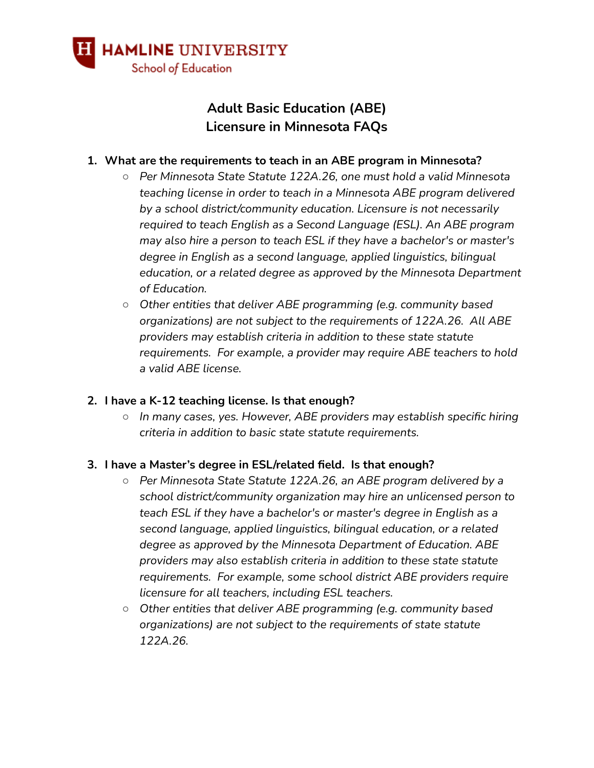

# **Adult Basic Education (ABE) Licensure in Minnesota FAQs**

#### **1. What are the requirements to teach in an ABE program in Minnesota?**

- *○ Per Minnesota State Statute 122A.26, one must hold a valid Minnesota teaching license in order to teach in a Minnesota ABE program delivered by a school district/community education. Licensure is not necessarily required to teach English as a Second Language (ESL). An ABE program may also hire a person to teach ESL if they have a bachelor's or master's degree in English as a second language, applied linguistics, bilingual education, or a related degree as approved by the Minnesota Department of Education.*
- *○ Other entities that deliver ABE programming (e.g. community based organizations) are not subject to the requirements of 122A.26. All ABE providers may establish criteria in addition to these state statute requirements. For example, a provider may require ABE teachers to hold a valid ABE license.*

#### **2. I have a K-12 teaching license. Is that enough?**

*○ In many cases, yes. However, ABE providers may establish specific hiring criteria in addition to basic state statute requirements.*

#### **3. I have a Master's degree in ESL/related field. Is that enough?**

- *○ Per Minnesota State Statute 122A.26, an ABE program delivered by a school district/community organization may hire an unlicensed person to teach ESL if they have a bachelor's or master's degree in English as a second language, applied linguistics, bilingual education, or a related degree as approved by the Minnesota Department of Education. ABE providers may also establish criteria in addition to these state statute requirements. For example, some school district ABE providers require licensure for all teachers, including ESL teachers.*
- *○ Other entities that deliver ABE programming (e.g. community based organizations) are not subject to the requirements of state statute 122A.26.*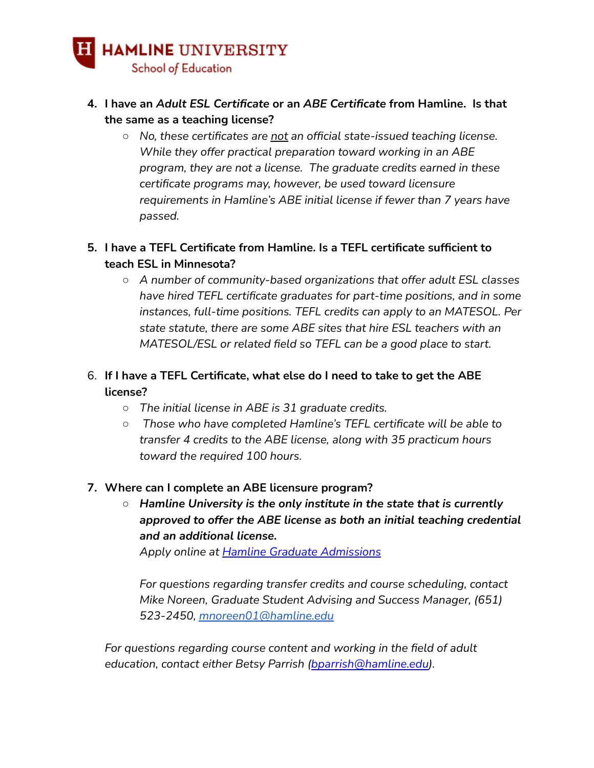

- **4. I have an** *Adult ESL Certificate* **or an** *ABE Certificate* **from Hamline. Is that the same as a teaching license?**
	- *○ No, these certificates are not an official state-issued teaching license. While they offer practical preparation toward working in an ABE program, they are not a license. The graduate credits earned in these certificate programs may, however, be used toward licensure requirements in Hamline's ABE initial license if fewer than 7 years have passed.*

## **5. I have a TEFL Certificate from Hamline. Is a TEFL certificate sufficient to teach ESL in Minnesota?**

*○ A number of community-based organizations that offer adult ESL classes have hired TEFL certificate graduates for part-time positions, and in some instances, full-time positions. TEFL credits can apply to an MATESOL. Per state statute, there are some ABE sites that hire ESL teachers with an MATESOL/ESL or related field so TEFL can be a good place to start.*

# 6. **If I have a TEFL Certificate, what else do I need to take to get the ABE license?**

- *○ The initial license in ABE is 31 graduate credits.*
- *○ Those who have completed Hamline's TEFL certificate will be able to transfer 4 credits to the ABE license, along with 35 practicum hours toward the required 100 hours.*

### **7. Where can I complete an ABE licensure program?**

*○ Hamline University is the only institute in the state that is currently approved to offer the ABE license as both an initial teaching credential and an additional license.*

*Apply online at Hamline Graduate [Admissions](https://www.hamline.edu/graduate/admission/application/)*

*For questions regarding transfer credits and course scheduling, contact Mike Noreen, Graduate Student Advising and Success Manager, (651) 523-2450, [mnoreen01@hamline.edu](mailto:mnoreen01@hamline.edu)*

*For questions regarding course content and working in the field of adult education, contact either Betsy Parrish ([bparrish@hamline.edu](mailto:bparrish@hamline.edu)).*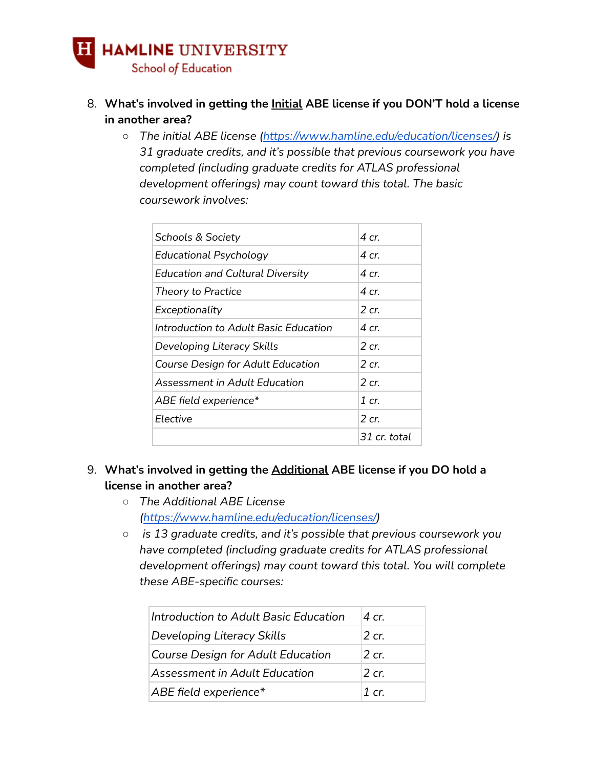# **H** HAMLINE UNIVERSITY School of Education

- 8. **What's involved in getting the Initial ABE license if you DON'T hold a license in another area?**
	- *○ The initial ABE license [\(https://www.hamline.edu/education/licenses/\)](https://www.hamline.edu/education/licenses/) is 31 graduate credits, and it's possible that previous coursework you have completed (including graduate credits for ATLAS professional development offerings) may count toward this total. The basic coursework involves:*

| <b>Schools &amp; Society</b>            | 4 cr.        |
|-----------------------------------------|--------------|
| Educational Psychology                  | 4 cr.        |
| <b>Education and Cultural Diversity</b> | 4 cr.        |
| Theory to Practice                      | 4 cr.        |
| Exceptionality                          | 2 cr.        |
| Introduction to Adult Basic Education   | 4 cr.        |
| Developing Literacy Skills              | 2 cr.        |
| Course Design for Adult Education       | 2 cr.        |
| Assessment in Adult Fducation           | $2$ cr.      |
| ABE field experience*                   | 1 cr.        |
| Flective                                | $2$ cr.      |
|                                         | 31 cr. total |

- 9. **What's involved in getting the Additional ABE license if you DO hold a license in another area?**
	- *○ The Additional ABE License (<https://www.hamline.edu/education/licenses/>)*
	- *○ is 13 graduate credits, and it's possible that previous coursework you have completed (including graduate credits for ATLAS professional development offerings) may count toward this total. You will complete these ABE-specific courses:*

| Introduction to Adult Basic Education    | $\Delta$ cr |
|------------------------------------------|-------------|
| Developing Literacy Skills               | $2$ cr.     |
| <b>Course Design for Adult Education</b> | $2$ cr.     |
| Assessment in Adult Education            | 2 cr.       |
| ABE field experience*                    | 1 $cr$      |